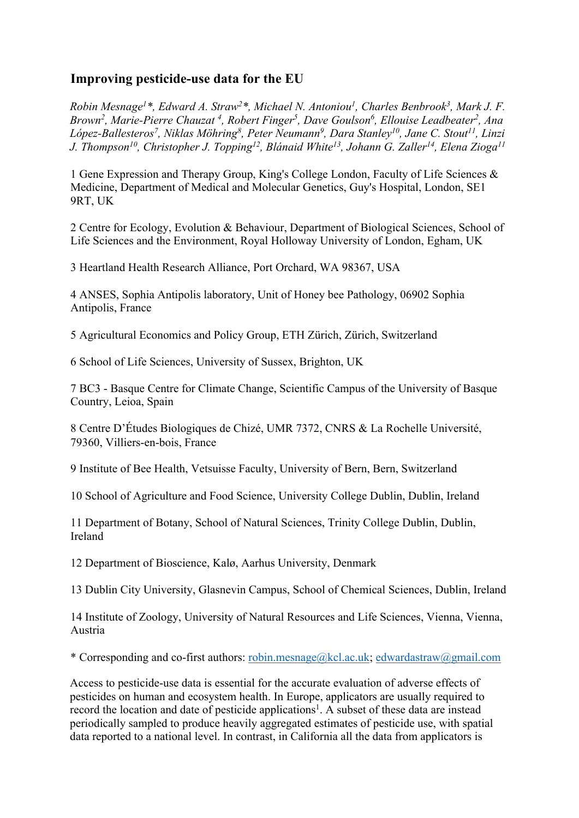## **Improving pesticide-use data for the EU**

*Robin Mesnage1 \*, Edward A. Straw2 \*, Michael N. Antoniou1 , Charles Benbrook3 , Mark J. F. Brown<sup>2</sup>, Marie-Pierre Chauzat<sup>4</sup>, Robert Finger<sup>5</sup>, Dave Goulson<sup>6</sup>, Ellouise Leadbeater<sup>2</sup>, Ana López-Ballesteros7 , Niklas Möhring8 , Peter Neumann9 , Dara Stanley10, Jane C. Stout11, Linzi J. Thompson10, Christopher J. Topping12, Blánaid White13 , Johann G. Zaller14, Elena Zioga11*

1 Gene Expression and Therapy Group, King's College London, Faculty of Life Sciences & Medicine, Department of Medical and Molecular Genetics, Guy's Hospital, London, SE1 9RT, UK

2 Centre for Ecology, Evolution & Behaviour, Department of Biological Sciences, School of Life Sciences and the Environment, Royal Holloway University of London, Egham, UK

3 Heartland Health Research Alliance, Port Orchard, WA 98367, USA

4 ANSES, Sophia Antipolis laboratory, Unit of Honey bee Pathology, 06902 Sophia Antipolis, France

5 Agricultural Economics and Policy Group, ETH Zürich, Zürich, Switzerland

6 School of Life Sciences, University of Sussex, Brighton, UK

7 BC3 - Basque Centre for Climate Change, Scientific Campus of the University of Basque Country, Leioa, Spain

8 Centre D'Études Biologiques de Chizé, UMR 7372, CNRS & La Rochelle Université, 79360, Villiers-en-bois, France

9 Institute of Bee Health, Vetsuisse Faculty, University of Bern, Bern, Switzerland

10 School of Agriculture and Food Science, University College Dublin, Dublin, Ireland

11 Department of Botany, School of Natural Sciences, Trinity College Dublin, Dublin, Ireland

12 Department of Bioscience, Kalø, Aarhus University, Denmark

13 Dublin City University, Glasnevin Campus, School of Chemical Sciences, Dublin, Ireland

14 Institute of Zoology, University of Natural Resources and Life Sciences, Vienna, Vienna, Austria

\* Corresponding and co-first authors: robin.mesnage@kcl.ac.uk; edwardastraw@gmail.com

Access to pesticide-use data is essential for the accurate evaluation of adverse effects of pesticides on human and ecosystem health. In Europe, applicators are usually required to record the location and date of pesticide applications<sup>1</sup>. A subset of these data are instead periodically sampled to produce heavily aggregated estimates of pesticide use, with spatial data reported to a national level. In contrast, in California all the data from applicators is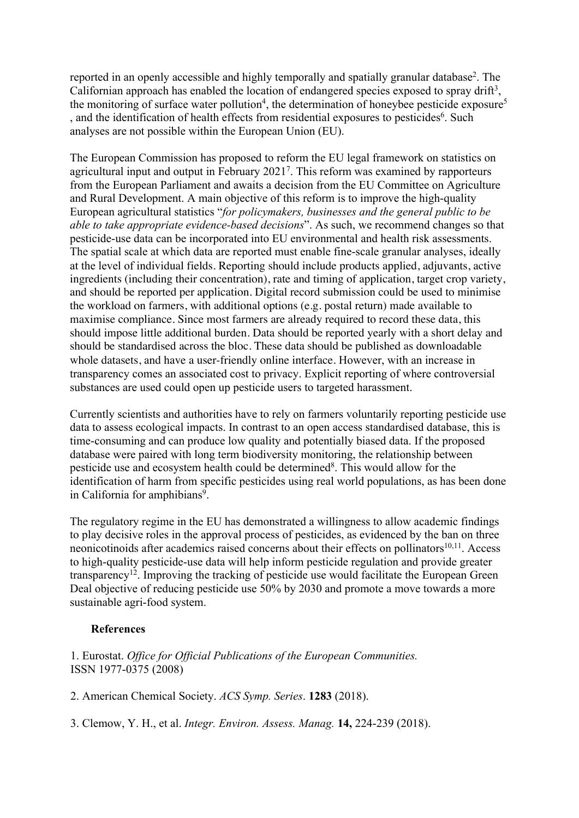reported in an openly accessible and highly temporally and spatially granular database<sup>2</sup>. The Californian approach has enabled the location of endangered species exposed to spray drift<sup>3</sup>, the monitoring of surface water pollution<sup>4</sup>, the determination of honeybee pesticide exposure<sup>5</sup> , and the identification of health effects from residential exposures to pesticides<sup>6</sup>. Such analyses are not possible within the European Union (EU).

The European Commission has proposed to reform the EU legal framework on statistics on agricultural input and output in February 20217 . This reform was examined by rapporteurs from the European Parliament and awaits a decision from the EU Committee on Agriculture and Rural Development. A main objective of this reform is to improve the high-quality European agricultural statistics "*for policymakers, businesses and the general public to be able to take appropriate evidence-based decisions*". As such, we recommend changes so that pesticide-use data can be incorporated into EU environmental and health risk assessments. The spatial scale at which data are reported must enable fine-scale granular analyses, ideally at the level of individual fields. Reporting should include products applied, adjuvants, active ingredients (including their concentration), rate and timing of application, target crop variety, and should be reported per application. Digital record submission could be used to minimise the workload on farmers, with additional options (e.g. postal return) made available to maximise compliance. Since most farmers are already required to record these data, this should impose little additional burden. Data should be reported yearly with a short delay and should be standardised across the bloc. These data should be published as downloadable whole datasets, and have a user-friendly online interface. However, with an increase in transparency comes an associated cost to privacy. Explicit reporting of where controversial substances are used could open up pesticide users to targeted harassment.

Currently scientists and authorities have to rely on farmers voluntarily reporting pesticide use data to assess ecological impacts. In contrast to an open access standardised database, this is time-consuming and can produce low quality and potentially biased data. If the proposed database were paired with long term biodiversity monitoring, the relationship between pesticide use and ecosystem health could be determined<sup>8</sup>. This would allow for the identification of harm from specific pesticides using real world populations, as has been done in California for amphibians<sup>9</sup>.

The regulatory regime in the EU has demonstrated a willingness to allow academic findings to play decisive roles in the approval process of pesticides, as evidenced by the ban on three neonicotinoids after academics raised concerns about their effects on pollinators $10,11$ . Access to high-quality pesticide-use data will help inform pesticide regulation and provide greater transparency<sup>12</sup>. Improving the tracking of pesticide use would facilitate the European Green Deal objective of reducing pesticide use 50% by 2030 and promote a move towards a more sustainable agri-food system.

## **References**

1. Eurostat. *Office for Official Publications of the European Communities.* ISSN 1977-0375 (2008)

2. American Chemical Society. *ACS Symp. Series*. **1283** (2018).

3. Clemow, Y. H., et al. *Integr. Environ. Assess. Manag.* **14,** 224-239 (2018).